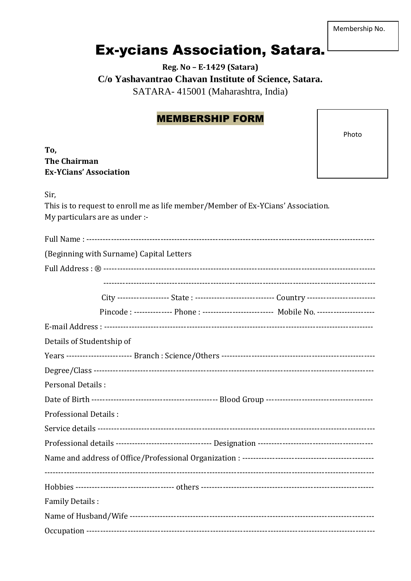Membership No.

## **Ex-ycians Association, Satara.**

## Reg. No - E-1429 (Satara) C/o Yashavantrao Chavan Institute of Science, Satara. SATARA- 415001 (Maharashtra, India)

## **MEMBERSHIP FORM**

This is to request to enroll me as life member/Member of Ex-YCians' Association.

Photo

## To, **The Chairman Ex-YCians' Association**

My particulars are as under :-

Sir.

| (Beginning with Surname) Capital Letters                                                      |  |  |
|-----------------------------------------------------------------------------------------------|--|--|
|                                                                                               |  |  |
|                                                                                               |  |  |
| City ------------------ State : ---------------------------- Country ------------------------ |  |  |
| Pincode: -------------- Phone: ------------------------- Mobile No. --------------------      |  |  |
|                                                                                               |  |  |
| Details of Studentship of                                                                     |  |  |
|                                                                                               |  |  |
|                                                                                               |  |  |
| Personal Details :                                                                            |  |  |
|                                                                                               |  |  |
| <b>Professional Details:</b>                                                                  |  |  |
|                                                                                               |  |  |
|                                                                                               |  |  |
|                                                                                               |  |  |
|                                                                                               |  |  |
|                                                                                               |  |  |
| <b>Family Details:</b>                                                                        |  |  |
|                                                                                               |  |  |
|                                                                                               |  |  |
|                                                                                               |  |  |